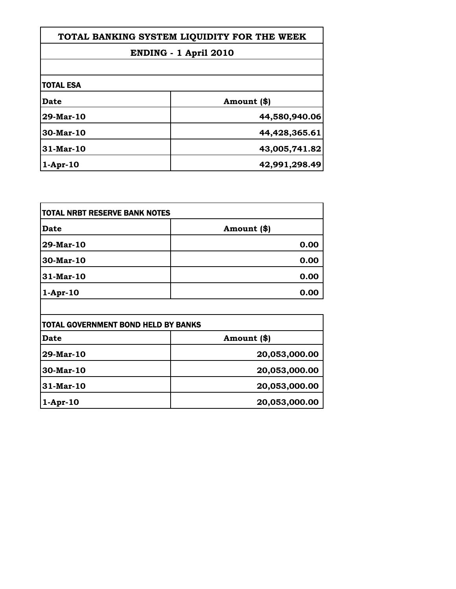| TOTAL BANKING SYSTEM LIQUIDITY FOR THE WEEK<br><b>ENDING - 1 April 2010</b> |               |                  |             |
|-----------------------------------------------------------------------------|---------------|------------------|-------------|
|                                                                             |               | <b>TOTAL ESA</b> |             |
|                                                                             |               | Date             | Amount (\$) |
| 29-Mar-10                                                                   | 44,580,940.06 |                  |             |
| 30-Mar-10                                                                   | 44,428,365.61 |                  |             |
| $31-Mar-10$                                                                 | 43,005,741.82 |                  |             |
| $1-Apr-10$                                                                  | 42,991,298.49 |                  |             |

| <b>Date</b>                                | Amount (\$)                     |
|--------------------------------------------|---------------------------------|
| 29-Mar-10                                  | 0.00                            |
| $30$ -Mar-10                               | 0.00                            |
| 31-Mar-10                                  | 0.00                            |
| $1-Apr-10$                                 | 0.00                            |
|                                            |                                 |
| <b>TOTAL GOVERNMENT BOND HELD BY BANKS</b> |                                 |
| $\sim$ $\sim$                              | $\overline{a}$ , $\overline{a}$ |

| TOTAL GOVERNMENT BOND HELD BY BANKS |               |
|-------------------------------------|---------------|
| Date                                | Amount (\$)   |
| 29-Mar-10                           | 20,053,000.00 |
| $30$ -Mar-10                        | 20,053,000.00 |
| 31-Mar-10                           | 20,053,000.00 |
| $1-Apr-10$                          | 20,053,000.00 |
|                                     |               |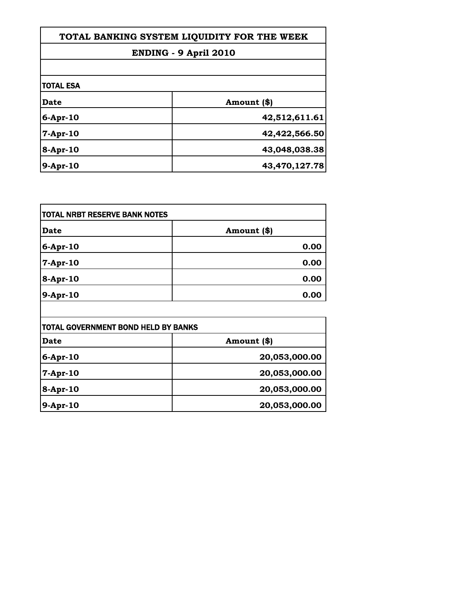| TOTAL BANKING SYSTEM LIQUIDITY FOR THE WEEK<br><b>ENDING - 9 April 2010</b> |               |                  |             |
|-----------------------------------------------------------------------------|---------------|------------------|-------------|
|                                                                             |               | <b>TOTAL ESA</b> |             |
|                                                                             |               | Date             | Amount (\$) |
| $6$ -Apr-10                                                                 | 42,512,611.61 |                  |             |
| $7-Apr-10$                                                                  | 42,422,566.50 |                  |             |
| 8-Apr-10                                                                    | 43,048,038.38 |                  |             |
| 9-Apr-10                                                                    | 43,470,127.78 |                  |             |

| <b>Date</b>                                | Amount (\$) |
|--------------------------------------------|-------------|
|                                            |             |
| 6-Apr-10                                   | 0.00        |
| $7-Apr-10$                                 | 0.00        |
| 8-Apr-10                                   | 0.00        |
| 9-Apr-10                                   | 0.00        |
|                                            |             |
| <b>TOTAL GOVERNMENT BOND HELD BY BANKS</b> |             |
| <b>Date</b>                                | Amount (\$) |

| Date       | Amount (\$)   |
|------------|---------------|
| $6-Apr-10$ | 20,053,000.00 |
| $7-Apr-10$ | 20,053,000.00 |
| 8-Apr-10   | 20,053,000.00 |
| 9-Apr-10   | 20,053,000.00 |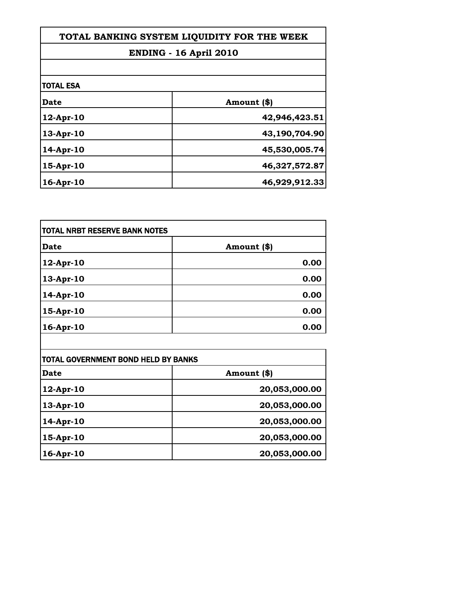| TOTAL BANKING SYSTEM LIQUIDITY FOR THE WEEK |               |
|---------------------------------------------|---------------|
| <b>ENDING - 16 April 2010</b>               |               |
|                                             |               |
| <b>TOTAL ESA</b>                            |               |
| Date                                        | Amount (\$)   |
| 12-Apr-10                                   | 42,946,423.51 |
| $13-Apr-10$                                 | 43,190,704.90 |
| 14-Apr-10                                   | 45,530,005.74 |
| 15-Apr-10                                   | 46,327,572.87 |
| 16-Apr-10                                   | 46,929,912.33 |

Г

| <b>TOTAL NRBT RESERVE BANK NOTES</b> |             |
|--------------------------------------|-------------|
| <b>Date</b>                          | Amount (\$) |
| 12-Apr-10                            | 0.00        |
| 13-Apr-10                            | 0.00        |
| 14-Apr-10                            | 0.00        |
| 15-Apr-10                            | 0.00        |
| 16-Apr-10                            | 0.00        |

| TOTAL GOVERNMENT BOND HELD BY BANKS |               |
|-------------------------------------|---------------|
| Date                                | Amount (\$)   |
| 12-Apr-10                           | 20,053,000.00 |
| 13-Apr-10                           | 20,053,000.00 |
| 14-Apr-10                           | 20,053,000.00 |
| 15-Apr-10                           | 20,053,000.00 |
| 16-Apr-10                           | 20,053,000.00 |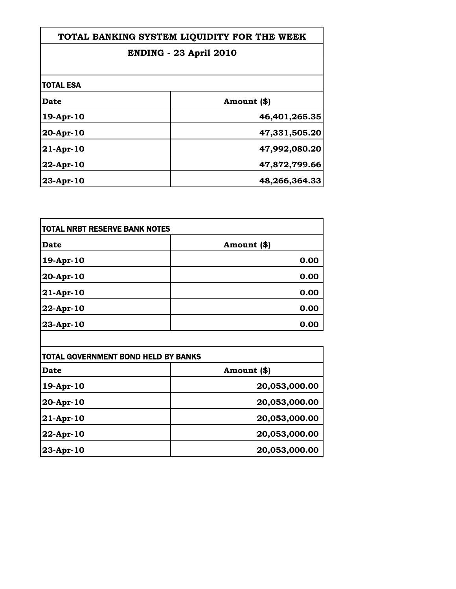| TOTAL BANKING SYSTEM LIQUIDITY FOR THE WEEK<br><b>ENDING - 23 April 2010</b> |               |
|------------------------------------------------------------------------------|---------------|
|                                                                              |               |
| <b>TOTAL ESA</b>                                                             |               |
| <b>Date</b>                                                                  | Amount (\$)   |
| $19$ -Apr- $10$                                                              | 46,401,265.35 |
| $20-Apr-10$                                                                  | 47,331,505.20 |
| $21-Apr-10$                                                                  | 47,992,080.20 |
| $22$ -Apr-10                                                                 | 47,872,799.66 |
| 23-Apr-10                                                                    | 48,266,364.33 |

| <b>TOTAL NRBT RESERVE BANK NOTES</b> |             |
|--------------------------------------|-------------|
| <b>Date</b>                          | Amount (\$) |
| 19-Apr-10                            | 0.00        |
| 20-Apr-10                            | 0.00        |
| 21-Apr-10                            | 0.00        |
| 22-Apr-10                            | 0.00        |
| 23-Apr-10                            | 0.00        |

| <b>TOTAL GOVERNMENT BOND HELD BY BANKS</b> |               |
|--------------------------------------------|---------------|
| Date                                       | Amount (\$)   |
| $19$ -Apr-10                               | 20,053,000.00 |
| 20-Apr-10                                  | 20,053,000.00 |
| $21-Apr-10$                                | 20,053,000.00 |
| 22-Apr-10                                  | 20,053,000.00 |
| 23-Apr-10                                  | 20,053,000.00 |